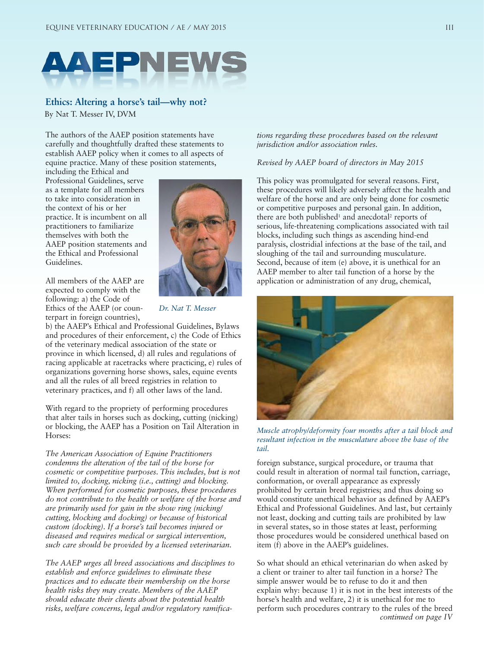

## **Ethics: Altering a horse's tail—why not?**

By Nat T. Messer IV, DVM

The authors of the AAEP position statements have carefully and thoughtfully drafted these statements to establish AAEP policy when it comes to all aspects of equine practice. Many of these position statements,

including the Ethical and Professional Guidelines, serve as a template for all members to take into consideration in the context of his or her practice. It is incumbent on all practitioners to familiarize themselves with both the AAEP position statements and the Ethical and Professional Guidelines.

All members of the AAEP are expected to comply with the following: a) the Code of Ethics of the AAEP (or counterpart in foreign countries),



*Dr. Nat T. Messer*

b) the AAEP's Ethical and Professional Guidelines, Bylaws and procedures of their enforcement, c) the Code of Ethics of the veterinary medical association of the state or province in which licensed, d) all rules and regulations of racing applicable at racetracks where practicing, e) rules of organizations governing horse shows, sales, equine events and all the rules of all breed registries in relation to veterinary practices, and f) all other laws of the land.

With regard to the propriety of performing procedures that alter tails in horses such as docking, cutting (nicking) or blocking, the AAEP has a Position on Tail Alteration in Horses:

*The American Association of Equine Practitioners condemns the alteration of the tail of the horse for cosmetic or competitive purposes. This includes, but is not limited to, docking, nicking (i.e., cutting) and blocking. When performed for cosmetic purposes, these procedures do not contribute to the health or welfare of the horse and are primarily used for gain in the show ring (nicking/ cutting, blocking and docking) or because of historical custom (docking). If a horse's tail becomes injured or diseased and requires medical or surgical intervention, such care should be provided by a licensed veterinarian.*

*The AAEP urges all breed associations and disciplines to establish and enforce guidelines to eliminate these practices and to educate their membership on the horse health risks they may create. Members of the AAEP should educate their clients about the potential health risks, welfare concerns, legal and/or regulatory ramifica-* *tions regarding these procedures based on the relevant jurisdiction and/or association rules.* 

## *Revised by AAEP board of directors in May 2015*

This policy was promulgated for several reasons. First, these procedures will likely adversely affect the health and welfare of the horse and are only being done for cosmetic or competitive purposes and personal gain. In addition, there are both published<sup>1</sup> and anecdotal<sup>2</sup> reports of serious, life-threatening complications associated with tail blocks, including such things as ascending hind-end paralysis, clostridial infections at the base of the tail, and sloughing of the tail and surrounding musculature. Second, because of item (e) above, it is unethical for an AAEP member to alter tail function of a horse by the application or administration of any drug, chemical,



*Muscle atrophy/deformity four months after a tail block and resultant infection in the musculature above the base of the tail.* 

foreign substance, surgical procedure, or trauma that could result in alteration of normal tail function, carriage, conformation, or overall appearance as expressly prohibited by certain breed registries; and thus doing so would constitute unethical behavior as defined by AAEP's Ethical and Professional Guidelines. And last, but certainly not least, docking and cutting tails are prohibited by law in several states, so in those states at least, performing those procedures would be considered unethical based on item (f) above in the AAEP's guidelines.

So what should an ethical veterinarian do when asked by a client or trainer to alter tail function in a horse? The simple answer would be to refuse to do it and then explain why: because 1) it is not in the best interests of the horse's health and welfare, 2) it is unethical for me to perform such procedures contrary to the rules of the breed *continued on page IV*